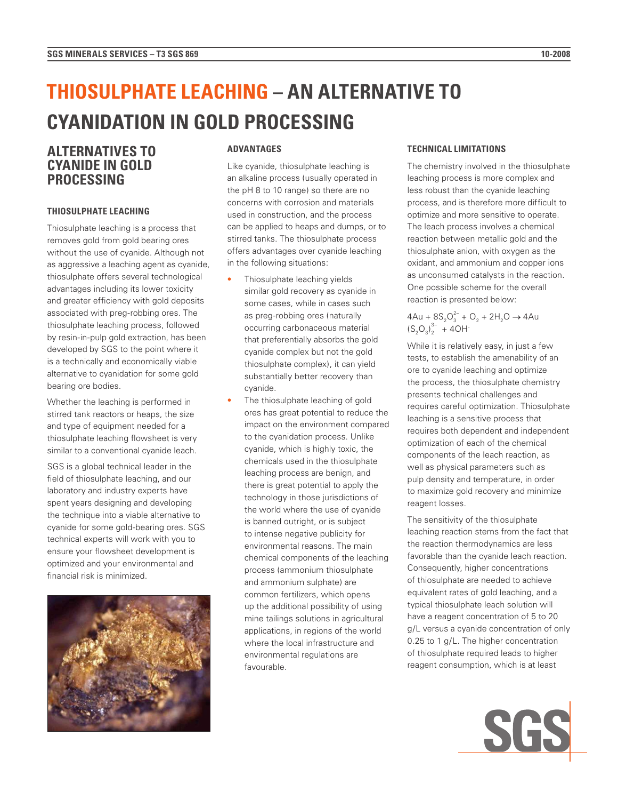# **THIOSULPHATE LEACHING – AN ALTERNATIVE TO CYANIDATION IN GOLD PROCESSING**

# **ALTERNATIVES TO CYANIDE IN GOLD PROCESSING**

## **THIOSULPHATE LEACHING**

Thiosulphate leaching is a process that removes gold from gold bearing ores without the use of cyanide. Although not as aggressive a leaching agent as cyanide, thiosulphate offers several technological advantages including its lower toxicity and greater efficiency with gold deposits associated with preg-robbing ores. The thiosulphate leaching process, followed by resin-in-pulp gold extraction, has been developed by SGS to the point where it is a technically and economically viable alternative to cyanidation for some gold bearing ore bodies.

Whether the leaching is performed in stirred tank reactors or heaps, the size and type of equipment needed for a thiosulphate leaching flowsheet is very similar to a conventional cyanide leach.

SGS is a global technical leader in the field of thiosulphate leaching, and our laboratory and industry experts have spent years designing and developing the technique into a viable alternative to cyanide for some gold-bearing ores. SGS technical experts will work with you to ensure your flowsheet development is optimized and your environmental and financial risk is minimized.



## **ADVANTAGES**

Like cyanide, thiosulphate leaching is an alkaline process (usually operated in the pH 8 to 10 range) so there are no concerns with corrosion and materials used in construction, and the process can be applied to heaps and dumps, or to stirred tanks. The thiosulphate process offers advantages over cyanide leaching in the following situations:

- Thiosulphate leaching yields similar gold recovery as cyanide in some cases, while in cases such as preg-robbing ores (naturally occurring carbonaceous material that preferentially absorbs the gold cyanide complex but not the gold thiosulphate complex), it can yield substantially better recovery than cyanide.
- The thiosulphate leaching of gold ores has great potential to reduce the impact on the environment compared to the cyanidation process. Unlike cyanide, which is highly toxic, the chemicals used in the thiosulphate leaching process are benign, and there is great potential to apply the technology in those jurisdictions of the world where the use of cyanide is banned outright, or is subject to intense negative publicity for environmental reasons. The main chemical components of the leaching process (ammonium thiosulphate and ammonium sulphate) are common fertilizers, which opens up the additional possibility of using mine tailings solutions in agricultural applications, in regions of the world where the local infrastructure and environmental regulations are favourable.

## **TECHNICAL LIMITATIONS**

The chemistry involved in the thiosulphate leaching process is more complex and less robust than the cyanide leaching process, and is therefore more difficult to optimize and more sensitive to operate. The leach process involves a chemical reaction between metallic gold and the thiosulphate anion, with oxygen as the oxidant, and ammonium and copper ions as unconsumed catalysts in the reaction. One possible scheme for the overall reaction is presented below:

# $4Au + 8S_2O_3^{2-} + O_2 + 2H_2O \rightarrow 4Au$  $(S_2O_3)_2^{3-} + 4OH^{-}$

While it is relatively easy, in just a few tests, to establish the amenability of an ore to cyanide leaching and optimize the process, the thiosulphate chemistry presents technical challenges and requires careful optimization. Thiosulphate leaching is a sensitive process that requires both dependent and independent optimization of each of the chemical components of the leach reaction, as well as physical parameters such as pulp density and temperature, in order to maximize gold recovery and minimize reagent losses.

The sensitivity of the thiosulphate leaching reaction stems from the fact that the reaction thermodynamics are less favorable than the cyanide leach reaction. Consequently, higher concentrations of thiosulphate are needed to achieve equivalent rates of gold leaching, and a typical thiosulphate leach solution will have a reagent concentration of 5 to 20 g/L versus a cyanide concentration of only 0.25 to 1 g/L. The higher concentration of thiosulphate required leads to higher reagent consumption, which is at least